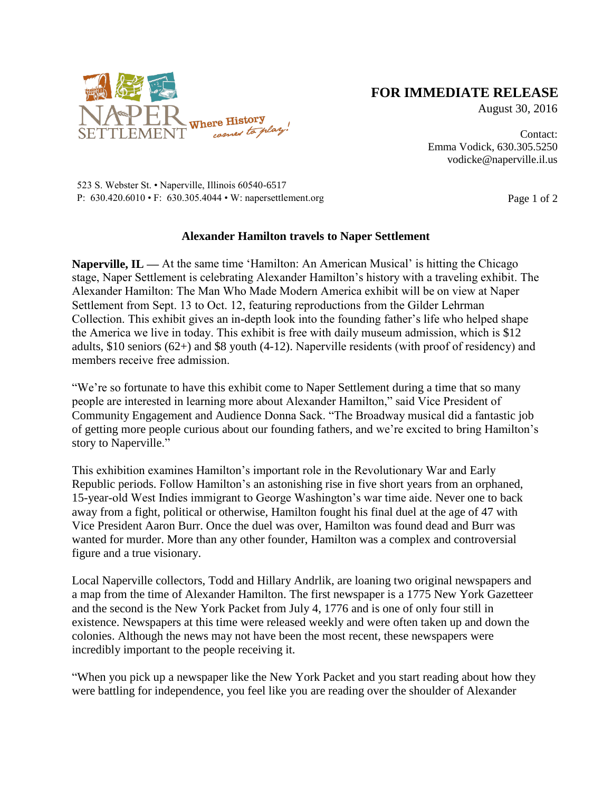

## **FOR IMMEDIATE RELEASE**

August 30, 2016

Contact: Emma Vodick, 630.305.5250 vodicke@naperville.il.us

523 S. Webster St. • Naperville, Illinois 60540-6517 P:  $630.420.6010 \cdot F$ :  $630.305.4044 \cdot W$ : napersettlement.org Page 1 of 2

## **Alexander Hamilton travels to Naper Settlement**

**Naperville, IL** — At the same time 'Hamilton: An American Musical' is hitting the Chicago stage, Naper Settlement is celebrating Alexander Hamilton's history with a traveling exhibit. The Alexander Hamilton: The Man Who Made Modern America exhibit will be on view at Naper Settlement from Sept. 13 to Oct. 12, featuring reproductions from the Gilder Lehrman Collection. This exhibit gives an in-depth look into the founding father's life who helped shape the America we live in today. This exhibit is free with daily museum admission, which is \$12 adults, \$10 seniors (62+) and \$8 youth (4-12). Naperville residents (with proof of residency) and members receive free admission.

"We're so fortunate to have this exhibit come to Naper Settlement during a time that so many people are interested in learning more about Alexander Hamilton," said Vice President of Community Engagement and Audience Donna Sack. "The Broadway musical did a fantastic job of getting more people curious about our founding fathers, and we're excited to bring Hamilton's story to Naperville."

This exhibition examines Hamilton's important role in the Revolutionary War and Early Republic periods. Follow Hamilton's an astonishing rise in five short years from an orphaned, 15-year-old West Indies immigrant to George Washington's war time aide. Never one to back away from a fight, political or otherwise, Hamilton fought his final duel at the age of 47 with Vice President Aaron Burr. Once the duel was over, Hamilton was found dead and Burr was wanted for murder. More than any other founder, Hamilton was a complex and controversial figure and a true visionary.

Local Naperville collectors, Todd and Hillary Andrlik, are loaning two original newspapers and a map from the time of Alexander Hamilton. The first newspaper is a 1775 New York Gazetteer and the second is the New York Packet from July 4, 1776 and is one of only four still in existence. Newspapers at this time were released weekly and were often taken up and down the colonies. Although the news may not have been the most recent, these newspapers were incredibly important to the people receiving it.

"When you pick up a newspaper like the New York Packet and you start reading about how they were battling for independence, you feel like you are reading over the shoulder of Alexander